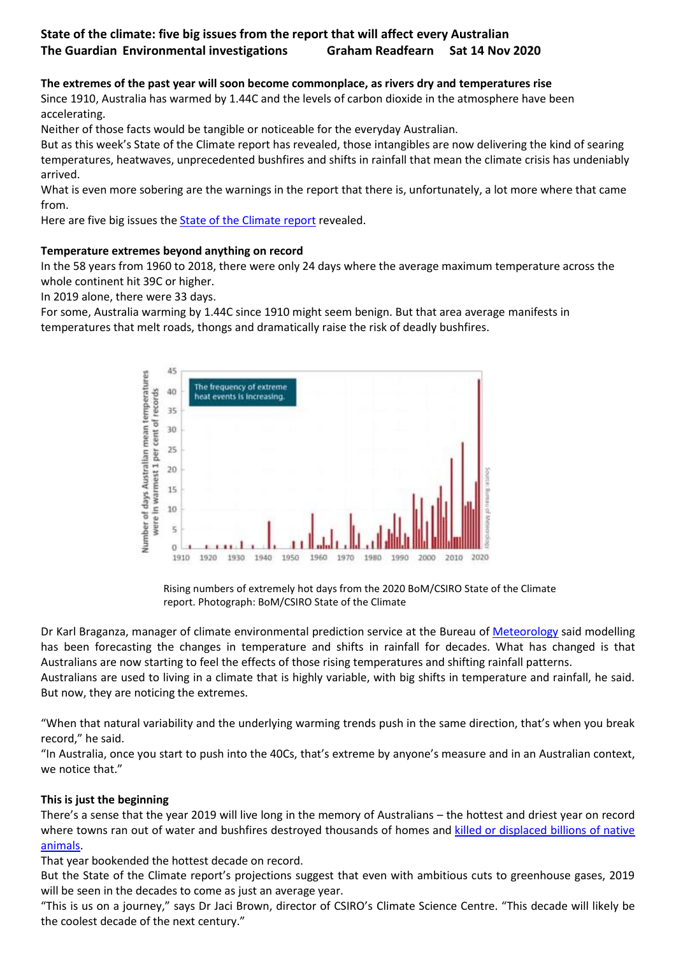# **State of the climate: five big issues from the report that will affect every Australian The Guardian Environmental investigations Graham Readfearn Sat 14 Nov 2020**

# **The extremes of the past year will soon become commonplace, as rivers dry and temperatures rise**

Since 1910, Australia has warmed by 1.44C and the levels of carbon dioxide in the atmosphere have been accelerating.

Neither of those facts would be tangible or noticeable for the everyday Australian.

But as this week's State of the Climate report has revealed, those intangibles are now delivering the kind of searing temperatures, heatwaves, unprecedented bushfires and shifts in rainfall that mean the climate crisis has undeniably arrived.

What is even more sobering are the warnings in the report that there is, unfortunately, a lot more where that came from.

Here are five big issues the **[State of the Climate report](http://www.bom.gov.au/state-of-the-climate/)** revealed.

### **Temperature extremes beyond anything on record**

In the 58 years from 1960 to 2018, there were only 24 days where the average maximum temperature across the whole continent hit 39C or higher.

In 2019 alone, there were 33 days.

For some, Australia warming by 1.44C since 1910 might seem benign. But that area average manifests in temperatures that melt roads, thongs and dramatically raise the risk of deadly bushfires.



Rising numbers of extremely hot days from the 2020 BoM/CSIRO State of the Climate report. Photograph: BoM/CSIRO State of the Climate

Dr Karl Braganza, manager of climate environmental prediction service at the Bureau of [Meteorology](https://www.theguardian.com/science/meteorology) said modelling has been forecasting the changes in temperature and shifts in rainfall for decades. What has changed is that Australians are now starting to feel the effects of those rising temperatures and shifting rainfall patterns. Australians are used to living in a climate that is highly variable, with big shifts in temperature and rainfall, he said. But now, they are noticing the extremes.

"When that natural variability and the underlying warming trends push in the same direction, that's when you break record," he said.

"In Australia, once you start to push into the 40Cs, that's extreme by anyone's measure and in an Australian context, we notice that."

# **This is just the beginning**

There's a sense that the year 2019 will live long in the memory of Australians – the hottest and driest year on record where towns ran out of water and bushfires destroyed thousands of homes and [killed or displaced billions of native](https://www.theguardian.com/environment/2020/jul/28/almost-3-billion-animals-affected-by-australian-megafires-report-shows-aoe)  [animals.](https://www.theguardian.com/environment/2020/jul/28/almost-3-billion-animals-affected-by-australian-megafires-report-shows-aoe)

That year bookended the hottest decade on record.

But the State of the Climate report's projections suggest that even with ambitious cuts to greenhouse gases, 2019 will be seen in the decades to come as just an average year.

"This is us on a journey," says Dr Jaci Brown, director of CSIRO's Climate Science Centre. "This decade will likely be the coolest decade of the next century."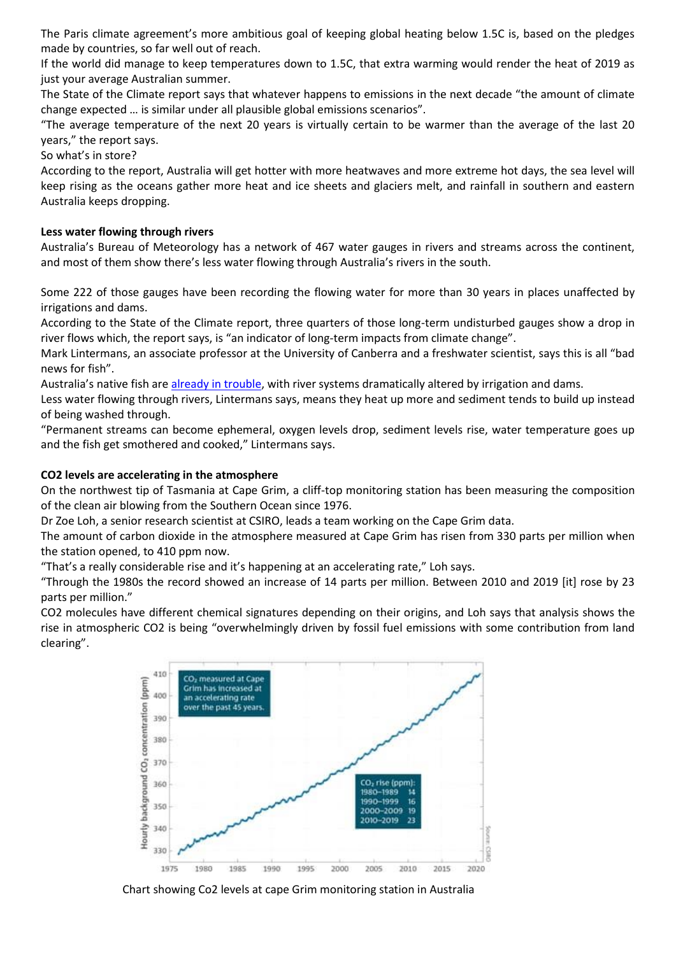The Paris climate agreement's more ambitious goal of keeping global heating below 1.5C is, based on the pledges made by countries, so far well out of reach.

If the world did manage to keep temperatures down to 1.5C, that extra warming would render the heat of 2019 as just your average Australian summer.

The State of the Climate report says that whatever happens to emissions in the next decade "the amount of climate change expected … is similar under all plausible global emissions scenarios".

"The average temperature of the next 20 years is virtually certain to be warmer than the average of the last 20 years," the report says.

So what's in store?

According to the report, Australia will get hotter with more heatwaves and more extreme hot days, the sea level will keep rising as the oceans gather more heat and ice sheets and glaciers melt, and rainfall in southern and eastern Australia keeps dropping.

#### **Less water flowing through rivers**

Australia's Bureau of Meteorology has a network of 467 water gauges in rivers and streams across the continent, and most of them show there's less water flowing through Australia's rivers in the south.

Some 222 of those gauges have been recording the flowing water for more than 30 years in places unaffected by irrigations and dams.

According to the State of the Climate report, three quarters of those long-term undisturbed gauges show a drop in river flows which, the report says, is "an indicator of long-term impacts from climate change".

Mark Lintermans, an associate professor at the University of Canberra and a freshwater scientist, says this is all "bad news for fish".

Australia's native fish are [already in trouble,](https://www.theguardian.com/environment/2020/aug/14/dire-outlook-for-native-freshwater-fish-with-22-species-given-less-than-50-chance-of-survival) with river systems dramatically altered by irrigation and dams.

Less water flowing through rivers, Lintermans says, means they heat up more and sediment tends to build up instead of being washed through.

"Permanent streams can become ephemeral, oxygen levels drop, sediment levels rise, water temperature goes up and the fish get smothered and cooked," Lintermans says.

#### **CO2 levels are accelerating in the atmosphere**

On the northwest tip of Tasmania at Cape Grim, a cliff-top monitoring station has been measuring the composition of the clean air blowing from the Southern Ocean since 1976.

Dr Zoe Loh, a senior research scientist at CSIRO, leads a team working on the Cape Grim data.

The amount of carbon dioxide in the atmosphere measured at Cape Grim has risen from 330 parts per million when the station opened, to 410 ppm now.

"That's a really considerable rise and it's happening at an accelerating rate," Loh says.

"Through the 1980s the record showed an increase of 14 parts per million. Between 2010 and 2019 [it] rose by 23 parts per million."

CO2 molecules have different chemical signatures depending on their origins, and Loh says that analysis shows the rise in atmospheric CO2 is being "overwhelmingly driven by fossil fuel emissions with some contribution from land clearing".



Chart showing Co2 levels at cape Grim monitoring station in Australia